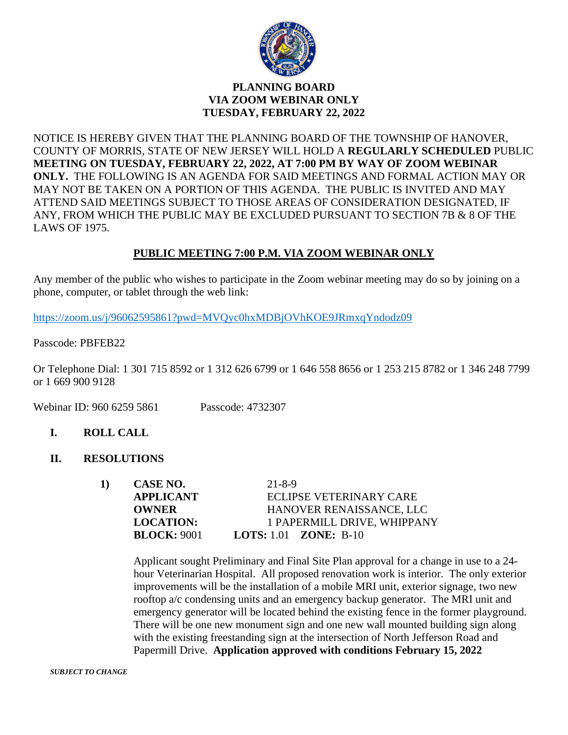

# **PLANNING BOARD VIA ZOOM WEBINAR ONLY TUESDAY, FEBRUARY 22, 2022**

NOTICE IS HEREBY GIVEN THAT THE PLANNING BOARD OF THE TOWNSHIP OF HANOVER, COUNTY OF MORRIS, STATE OF NEW JERSEY WILL HOLD A **REGULARLY SCHEDULED** PUBLIC **MEETING ON TUESDAY, FEBRUARY 22, 2022, AT 7:00 PM BY WAY OF ZOOM WEBINAR ONLY.** THE FOLLOWING IS AN AGENDA FOR SAID MEETINGS AND FORMAL ACTION MAY OR MAY NOT BE TAKEN ON A PORTION OF THIS AGENDA. THE PUBLIC IS INVITED AND MAY ATTEND SAID MEETINGS SUBJECT TO THOSE AREAS OF CONSIDERATION DESIGNATED, IF ANY, FROM WHICH THE PUBLIC MAY BE EXCLUDED PURSUANT TO SECTION 7B & 8 OF THE LAWS OF 1975.

# **PUBLIC MEETING 7:00 P.M. VIA ZOOM WEBINAR ONLY**

Any member of the public who wishes to participate in the Zoom webinar meeting may do so by joining on a phone, computer, or tablet through the web link:

<https://zoom.us/j/96062595861?pwd=MVQyc0hxMDBjOVhKOE9JRmxqYndodz09>

Passcode: PBFEB22

Or Telephone Dial: 1 301 715 8592 or 1 312 626 6799 or 1 646 558 8656 or 1 253 215 8782 or 1 346 248 7799 or 1 669 900 9128

Webinar ID: 960 6259 5861 Passcode: 4732307

- **I. ROLL CALL**
- **II. RESOLUTIONS**

| 1) | CASE NO.           | $21 - 8 - 9$                        |
|----|--------------------|-------------------------------------|
|    | <b>APPLICANT</b>   | ECLIPSE VETERINARY CARE             |
|    | <b>OWNER</b>       | HANOVER RENAISSANCE, LLC            |
|    | <b>LOCATION:</b>   | 1 PAPERMILL DRIVE, WHIPPANY         |
|    | <b>BLOCK: 9001</b> | <b>LOTS:</b> 1.01 <b>ZONE:</b> B-10 |

Applicant sought Preliminary and Final Site Plan approval for a change in use to a 24 hour Veterinarian Hospital. All proposed renovation work is interior. The only exterior improvements will be the installation of a mobile MRI unit, exterior signage, two new rooftop a/c condensing units and an emergency backup generator. The MRI unit and emergency generator will be located behind the existing fence in the former playground. There will be one new monument sign and one new wall mounted building sign along with the existing freestanding sign at the intersection of North Jefferson Road and Papermill Drive. **Application approved with conditions February 15, 2022**